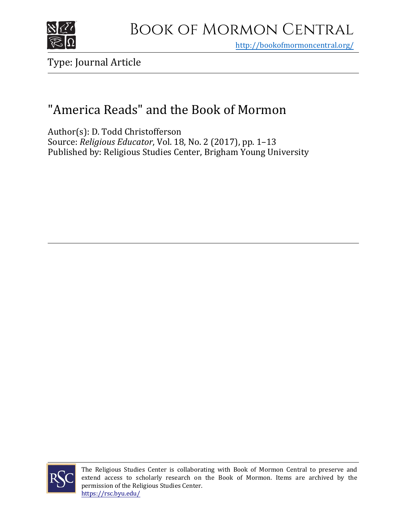

## Book of Mormon Central

<http://bookofmormoncentral.org/>

### Type: Journal Article

## "America Reads" and the Book of Mormon

Author(s): D. Todd Christofferson Source: *Religious Educator*, Vol. 18, No. 2 (2017), pp. 1–13 Published by: Religious Studies Center, Brigham Young University



The Religious Studies Center is collaborating with Book of Mormon Central to preserve and extend access to scholarly research on the Book of Mormon. Items are archived by the permission of the Religious Studies Center. <https://rsc.byu.edu/>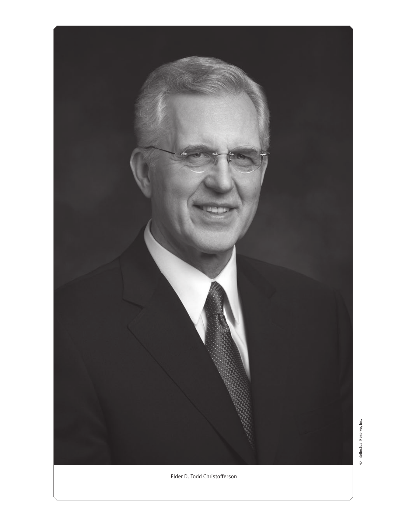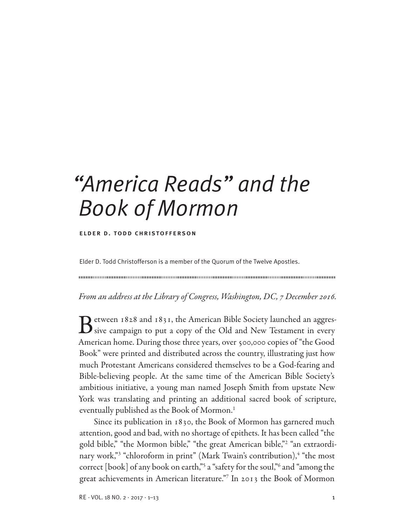# *"America Reads" and the Book of Mormon*

#### elder d. todd christofferson

Elder D. Todd Christofferson is a member of the Quorum of the Twelve Apostles.

111111111111111111111111111111111111111111111111111111111111111111111111111111111111111111111111111111111111111111111111111111111111111111111111111111111111111111111111111111111111111111111111111111111111111111

From an address at the Library of Congress, Washington, DC, 7 December 2016.

Between 1828 and 1831, the American Bible Society launched an aggres-<br>sive campaign to put a copy of the Old and New Testament in every American home. During those three years, over 500,000 copies of "the Good Book" were printed and distributed across the country, illustrating just how much Protestant Americans considered themselves to be a God-fearing and Bible-believing people. At the same time of the American Bible Society's ambitious initiative, a young man named Joseph Smith from upstate New York was translating and printing an additional sacred book of scripture, eventually published as the Book of Mormon.1

Since its publication in 1830, the Book of Mormon has garnered much attention, good and bad, with no shortage of epithets. It has been called "the gold bible," "the Mormon bible," "the great American bible,"2 "an extraordinary work,"<sup>3</sup> "chloroform in print" (Mark Twain's contribution),<sup>4</sup> "the most correct [book] of any book on earth,"5 a "safety for the soul,"6 and "among the great achievements in American literature."7 In 2013 the Book of Mormon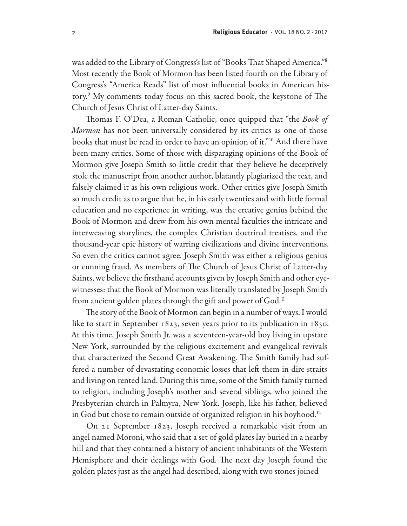was added to the Library of Congress's list of "Books That Shaped America."8 Most recently the Book of Mormon has been listed fourth on the Library of Congress's "America Reads" list of most influential books in American history.9 My comments today focus on this sacred book, the keystone of The Church of Jesus Christ of Latter-day Saints.

Thomas F. O'Dea, a Roman Catholic, once quipped that "the Book of Mormon has not been universally considered by its critics as one of those books that must be read in order to have an opinion of it."10 And there have been many critics. Some of those with disparaging opinions of the Book of Mormon give Joseph Smith so little credit that they believe he deceptively stole the manuscript from another author, blatantly plagiarized the text, and falsely claimed it as his own religious work. Other critics give Joseph Smith so much credit as to argue that he, in his early twenties and with little formal education and no experience in writing, was the creative genius behind the Book of Mormon and drew from his own mental faculties the intricate and interweaving storylines, the complex Christian doctrinal treatises, and the thousand-year epic history of warring civilizations and divine interventions. So even the critics cannot agree. Joseph Smith was either a religious genius or cunning fraud. As members of The Church of Jesus Christ of Latter-day Saints, we believe the firsthand accounts given by Joseph Smith and other eyewitnesses: that the Book of Mormon was literally translated by Joseph Smith from ancient golden plates through the gift and power of God.<sup>11</sup>

The story of the Book of Mormon can begin in a number of ways. I would like to start in September 1823, seven years prior to its publication in 1830. At this time, Joseph Smith Jr. was a seventeen-year-old boy living in upstate New York, surrounded by the religious excitement and evangelical revivals that characterized the Second Great Awakening. The Smith family had suffered a number of devastating economic losses that left them in dire straits and living on rented land. During this time, some of the Smith family turned to religion, including Joseph's mother and several siblings, who joined the Presbyterian church in Palmyra, New York. Joseph, like his father, believed in God but chose to remain outside of organized religion in his boyhood.<sup>12</sup>

On 21 September 1823, Joseph received a remarkable visit from an angel named Moroni, who said that a set of gold plates lay buried in a nearby hill and that they contained a history of ancient inhabitants of the Western Hemisphere and their dealings with God. The next day Joseph found the golden plates just as the angel had described, along with two stones joined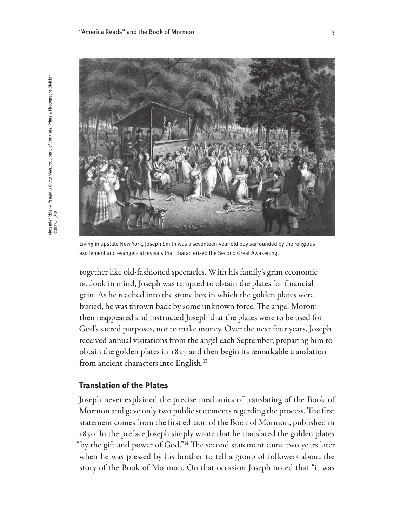

Living in upstate New York, Joseph Smith was a seventeen-year-old boy surrounded by the religious excitement and evangelical revivals that characterized the Second Great Awakening.

together like old-fashioned spectacles. With his family's grim economic outlook in mind, Joseph was tempted to obtain the plates for financial gain. As he reached into the stone box in which the golden plates were buried, he was thrown back by some unknown force. The angel Moroni then reappeared and instructed Joseph that the plates were to be used for God's sacred purposes, not to make money. Over the next four years, Joseph received annual visitations from the angel each September, preparing him to obtain the golden plates in 1827 and then begin its remarkable translation from ancient characters into English.<sup>13</sup>

#### **Translation of the Plates**

Joseph never explained the precise mechanics of translating of the Book of Mormon and gave only two public statements regarding the process. The first statement comes from the first edition of the Book of Mormon, published in 1830. In the preface Joseph simply wrote that he translated the golden plates "by the gift and power of God."14 The second statement came two years later when he was pressed by his brother to tell a group of followers about the story of the Book of Mormon. On that occasion Joseph noted that "it was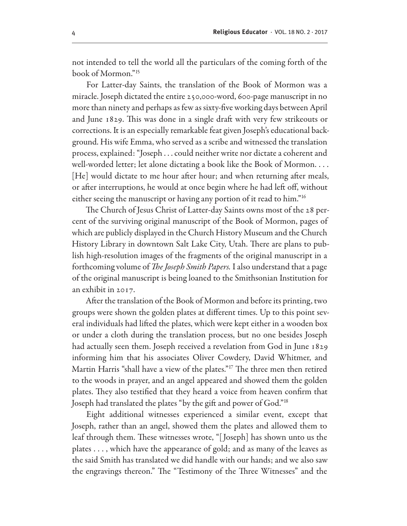not intended to tell the world all the particulars of the coming forth of the book of Mormon."15

For Latter-day Saints, the translation of the Book of Mormon was a miracle. Joseph dictated the entire 250,000-word, 600-page manuscript in no more than ninety and perhaps as few as sixty-five working days between April and June 1829. This was done in a single draft with very few strikeouts or corrections. It is an especially remarkable feat given Joseph's educational background. His wife Emma, who served as a scribe and witnessed the translation process, explained: "Joseph . . . could neither write nor dictate a coherent and well-worded letter; let alone dictating a book like the Book of Mormon. . . . [He] would dictate to me hour after hour; and when returning after meals, or after interruptions, he would at once begin where he had left off, without either seeing the manuscript or having any portion of it read to him."16

The Church of Jesus Christ of Latter-day Saints owns most of the 28 percent of the surviving original manuscript of the Book of Mormon, pages of which are publicly displayed in the Church History Museum and the Church History Library in downtown Salt Lake City, Utah. There are plans to publish high-resolution images of the fragments of the original manuscript in a forthcoming volume of *The Joseph Smith Papers*. I also understand that a page of the original manuscript is being loaned to the Smithsonian Institution for an exhibit in 2017.

After the translation of the Book of Mormon and before its printing, two groups were shown the golden plates at different times. Up to this point several individuals had lifted the plates, which were kept either in a wooden box or under a cloth during the translation process, but no one besides Joseph had actually seen them. Joseph received a revelation from God in June 1829 informing him that his associates Oliver Cowdery, David Whitmer, and Martin Harris "shall have a view of the plates."<sup>17</sup> The three men then retired to the woods in prayer, and an angel appeared and showed them the golden plates. They also testified that they heard a voice from heaven confirm that Joseph had translated the plates "by the gift and power of God."18

Eight additional witnesses experienced a similar event, except that Joseph, rather than an angel, showed them the plates and allowed them to leaf through them. These witnesses wrote, "[ Joseph] has shown unto us the plates . . . , which have the appearance of gold; and as many of the leaves as the said Smith has translated we did handle with our hands; and we also saw the engravings thereon." The "Testimony of the Three Witnesses" and the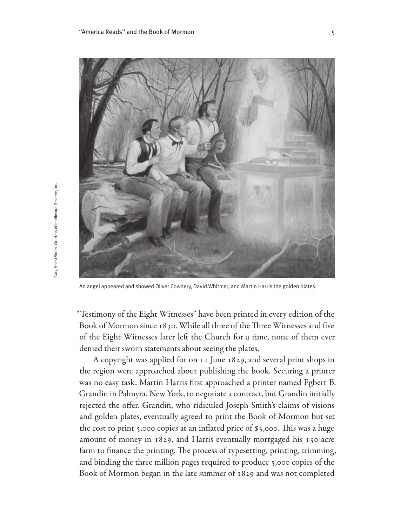

An angel appeared and showed Oliver Cowdery, David Whitmer, and Martin Harris the golden plates.

"Testimony of the Eight Witnesses" have been printed in every edition of the Book of Mormon since 1830. While all three of the Three Witnesses and five of the Eight Witnesses later left the Church for a time, none of them ever denied their sworn statements about seeing the plates.

A copyright was applied for on 11 June 1829, and several print shops in the region were approached about publishing the book. Securing a printer was no easy task. Martin Harris first approached a printer named Egbert B. Grandin in Palmyra, New York, to negotiate a contract, but Grandin initially rejected the offer. Grandin, who ridiculed Joseph Smith's claims of visions and golden plates, eventually agreed to print the Book of Mormon but set the cost to print 5,000 copies at an inflated price of \$3,000. This was a huge amount of money in 1829, and Harris eventually mortgaged his 150-acre farm to finance the printing. The process of typesetting, printing, trimming, and binding the three million pages required to produce 5,000 copies of the Book of Mormon began in the late summer of 1829 and was not completed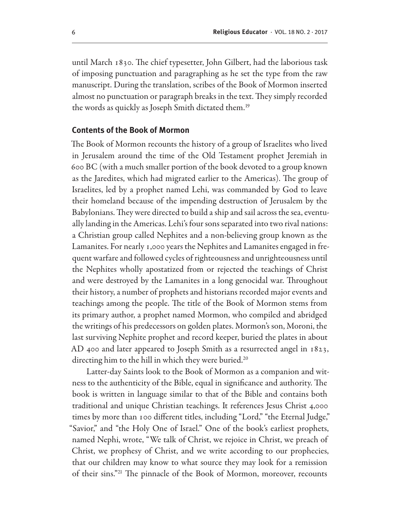until March 1830. The chief typesetter, John Gilbert, had the laborious task of imposing punctuation and paragraphing as he set the type from the raw manuscript. During the translation, scribes of the Book of Mormon inserted almost no punctuation or paragraph breaks in the text. They simply recorded the words as quickly as Joseph Smith dictated them.19

#### **Contents of the Book of Mormon**

The Book of Mormon recounts the history of a group of Israelites who lived in Jerusalem around the time of the Old Testament prophet Jeremiah in 600 BC (with a much smaller portion of the book devoted to a group known as the Jaredites, which had migrated earlier to the Americas). The group of Israelites, led by a prophet named Lehi, was commanded by God to leave their homeland because of the impending destruction of Jerusalem by the Babylonians. They were directed to build a ship and sail across the sea, eventually landing in the Americas. Lehi's four sons separated into two rival nations: a Christian group called Nephites and a non-believing group known as the Lamanites. For nearly 1,000 years the Nephites and Lamanites engaged in frequent warfare and followed cycles of righteousness and unrighteousness until the Nephites wholly apostatized from or rejected the teachings of Christ and were destroyed by the Lamanites in a long genocidal war. Throughout their history, a number of prophets and historians recorded major events and teachings among the people. The title of the Book of Mormon stems from its primary author, a prophet named Mormon, who compiled and abridged the writings of his predecessors on golden plates. Mormon's son, Moroni, the last surviving Nephite prophet and record keeper, buried the plates in about AD 400 and later appeared to Joseph Smith as a resurrected angel in 1823, directing him to the hill in which they were buried.<sup>20</sup>

Latter-day Saints look to the Book of Mormon as a companion and witness to the authenticity of the Bible, equal in significance and authority. The book is written in language similar to that of the Bible and contains both traditional and unique Christian teachings. It references Jesus Christ 4,000 times by more than 100 different titles, including "Lord," "the Eternal Judge," "Savior," and "the Holy One of Israel." One of the book's earliest prophets, named Nephi, wrote, "We talk of Christ, we rejoice in Christ, we preach of Christ, we prophesy of Christ, and we write according to our prophecies, that our children may know to what source they may look for a remission of their sins."21 The pinnacle of the Book of Mormon, moreover, recounts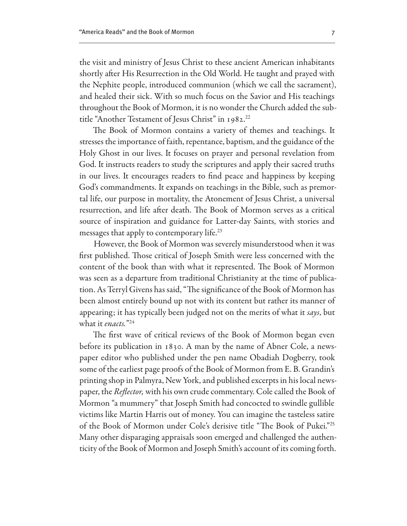the visit and ministry of Jesus Christ to these ancient American inhabitants shortly after His Resurrection in the Old World. He taught and prayed with the Nephite people, introduced communion (which we call the sacrament), and healed their sick. With so much focus on the Savior and His teachings throughout the Book of Mormon, it is no wonder the Church added the subtitle "Another Testament of Jesus Christ" in 1982.<sup>22</sup>

The Book of Mormon contains a variety of themes and teachings. It stresses the importance of faith, repentance, baptism, and the guidance of the Holy Ghost in our lives. It focuses on prayer and personal revelation from God. It instructs readers to study the scriptures and apply their sacred truths in our lives. It encourages readers to find peace and happiness by keeping God's commandments. It expands on teachings in the Bible, such as premortal life, our purpose in mortality, the Atonement of Jesus Christ, a universal resurrection, and life after death. The Book of Mormon serves as a critical source of inspiration and guidance for Latter-day Saints, with stories and messages that apply to contemporary life.<sup>23</sup>

However, the Book of Mormon was severely misunderstood when it was first published. Those critical of Joseph Smith were less concerned with the content of the book than with what it represented. The Book of Mormon was seen as a departure from traditional Christianity at the time of publication. As Terryl Givens has said, "The significance of the Book of Mormon has been almost entirely bound up not with its content but rather its manner of appearing; it has typically been judged not on the merits of what it says, but what it *enacts*."24

The first wave of critical reviews of the Book of Mormon began even before its publication in 1830. A man by the name of Abner Cole, a newspaper editor who published under the pen name Obadiah Dogberry, took some of the earliest page proofs of the Book of Mormon from E. B. Grandin's printing shop in Palmyra, New York, and published excerpts in his local newspaper, the *Reflector*, with his own crude commentary. Cole called the Book of Mormon "a mummery" that Joseph Smith had concocted to swindle gullible victims like Martin Harris out of money. You can imagine the tasteless satire of the Book of Mormon under Cole's derisive title "The Book of Pukei."25 Many other disparaging appraisals soon emerged and challenged the authenticity of the Book of Mormon and Joseph Smith's account of its coming forth.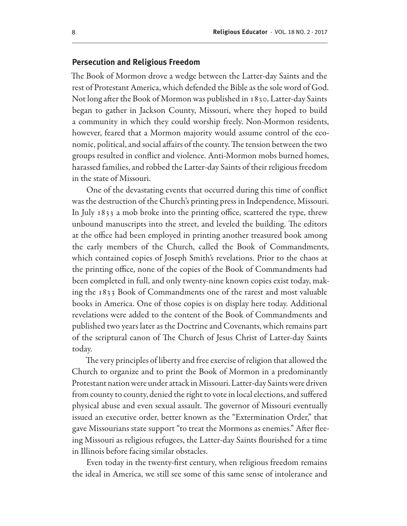#### **Persecution and Religious Freedom**

The Book of Mormon drove a wedge between the Latter-day Saints and the rest of Protestant America, which defended the Bible as the sole word of God. Not long after the Book of Mormon was published in 1830, Latter-day Saints began to gather in Jackson County, Missouri, where they hoped to build a community in which they could worship freely. Non-Mormon residents, however, feared that a Mormon majority would assume control of the economic, political, and social affairs of the county. The tension between the two groups resulted in conflict and violence. Anti-Mormon mobs burned homes, harassed families, and robbed the Latter-day Saints of their religious freedom in the state of Missouri.

One of the devastating events that occurred during this time of conflict was the destruction of the Church's printing press in Independence, Missouri. In July 1833 a mob broke into the printing office, scattered the type, threw unbound manuscripts into the street, and leveled the building. The editors at the office had been employed in printing another treasured book among the early members of the Church, called the Book of Commandments, which contained copies of Joseph Smith's revelations. Prior to the chaos at the printing office, none of the copies of the Book of Commandments had been completed in full, and only twenty-nine known copies exist today, making the 1833 Book of Commandments one of the rarest and most valuable books in America. One of those copies is on display here today. Additional revelations were added to the content of the Book of Commandments and published two years later as the Doctrine and Covenants, which remains part of the scriptural canon of The Church of Jesus Christ of Latter-day Saints today.

The very principles of liberty and free exercise of religion that allowed the Church to organize and to print the Book of Mormon in a predominantly Protestant nation were under attack in Missouri. Latter-day Saints were driven from county to county, denied the right to vote in local elections, and suffered physical abuse and even sexual assault. The governor of Missouri eventually issued an executive order, better known as the "Extermination Order," that gave Missourians state support "to treat the Mormons as enemies." After fleeing Missouri as religious refugees, the Latter-day Saints flourished for a time in Illinois before facing similar obstacles.

Even today in the twenty-first century, when religious freedom remains the ideal in America, we still see some of this same sense of intolerance and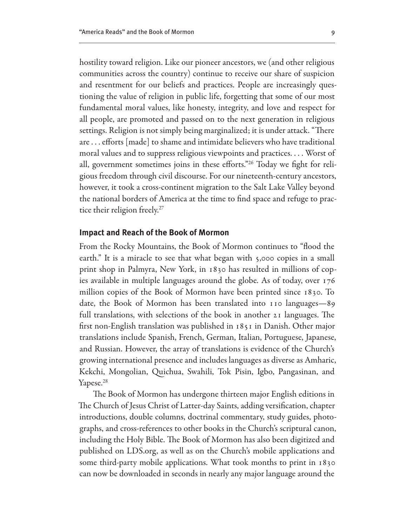hostility toward religion. Like our pioneer ancestors, we (and other religious communities across the country) continue to receive our share of suspicion and resentment for our beliefs and practices. People are increasingly questioning the value of religion in public life, forgetting that some of our most fundamental moral values, like honesty, integrity, and love and respect for all people, are promoted and passed on to the next generation in religious settings. Religion is not simply being marginalized; it is under attack. "There are . . . efforts [made] to shame and intimidate believers who have traditional moral values and to suppress religious viewpoints and practices. . . . Worst of all, government sometimes joins in these efforts."26 Today we fight for religious freedom through civil discourse. For our nineteenth-century ancestors, however, it took a cross-continent migration to the Salt Lake Valley beyond the national borders of America at the time to find space and refuge to practice their religion freely.<sup>27</sup>

#### **Impact and Reach of the Book of Mormon**

From the Rocky Mountains, the Book of Mormon continues to "flood the earth." It is a miracle to see that what began with 5,000 copies in a small print shop in Palmyra, New York, in 1830 has resulted in millions of copies available in multiple languages around the globe. As of today, over 176 million copies of the Book of Mormon have been printed since 1830. To date, the Book of Mormon has been translated into 110 languages—89 full translations, with selections of the book in another 21 languages. The first non-English translation was published in 1851 in Danish. Other major translations include Spanish, French, German, Italian, Portuguese, Japanese, and Russian. However, the array of translations is evidence of the Church's growing international presence and includes languages as diverse as Amharic, Kekchi, Mongolian, Quichua, Swahili, Tok Pisin, Igbo, Pangasinan, and Yapese.<sup>28</sup>

The Book of Mormon has undergone thirteen major English editions in The Church of Jesus Christ of Latter-day Saints, adding versification, chapter introductions, double columns, doctrinal commentary, study guides, photographs, and cross-references to other books in the Church's scriptural canon, including the Holy Bible. The Book of Mormon has also been digitized and published on LDS.org, as well as on the Church's mobile applications and some third-party mobile applications. What took months to print in 1830 can now be downloaded in seconds in nearly any major language around the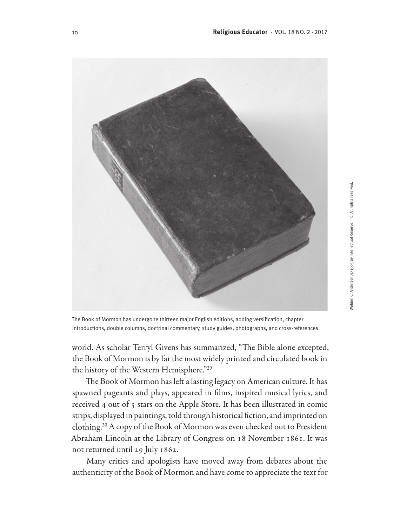

The Book of Mormon has undergone thirteen major English editions, adding versification, chapter introductions, double columns, doctrinal commentary, study guides, photographs, and cross-references.

world. As scholar Terryl Givens has summarized, "The Bible alone excepted, the Book of Mormon is by far the most widely printed and circulated book in the history of the Western Hemisphere."29

The Book of Mormon has left a lasting legacy on American culture. It has spawned pageants and plays, appeared in films, inspired musical lyrics, and received 4 out of 5 stars on the Apple Store. It has been illustrated in comic strips, displayed in paintings, told through historical fiction, and imprinted on clothing.30 A copy of the Book of Mormon was even checked out to President Abraham Lincoln at the Library of Congress on 18 November 1861. It was not returned until 29 July 1862.

Many critics and apologists have moved away from debates about the authenticity of the Book of Mormon and have come to appreciate the text for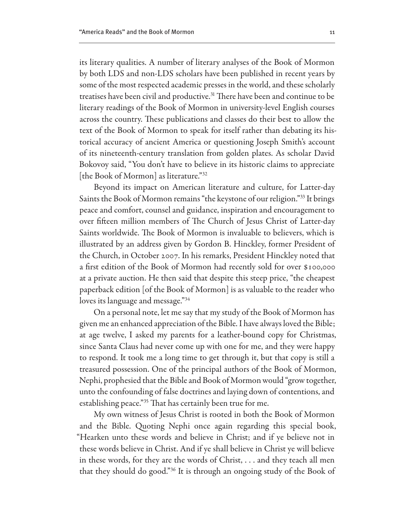its literary qualities. A number of literary analyses of the Book of Mormon by both LDS and non-LDS scholars have been published in recent years by some of the most respected academic presses in the world, and these scholarly treatises have been civil and productive.31 There have been and continue to be literary readings of the Book of Mormon in university-level English courses across the country. These publications and classes do their best to allow the text of the Book of Mormon to speak for itself rather than debating its historical accuracy of ancient America or questioning Joseph Smith's account of its nineteenth-century translation from golden plates. As scholar David Bokovoy said, "You don't have to believe in its historic claims to appreciate [the Book of Mormon] as literature."<sup>32</sup>

Beyond its impact on American literature and culture, for Latter-day Saints the Book of Mormon remains "the keystone of our religion."33 It brings peace and comfort, counsel and guidance, inspiration and encouragement to over fifteen million members of The Church of Jesus Christ of Latter-day Saints worldwide. The Book of Mormon is invaluable to believers, which is illustrated by an address given by Gordon B. Hinckley, former President of the Church, in October 2007. In his remarks, President Hinckley noted that a first edition of the Book of Mormon had recently sold for over \$100,000 at a private auction. He then said that despite this steep price, "the cheapest paperback edition [of the Book of Mormon] is as valuable to the reader who loves its language and message."<sup>34</sup>

On a personal note, let me say that my study of the Book of Mormon has given me an enhanced appreciation of the Bible. I have always loved the Bible; at age twelve, I asked my parents for a leather-bound copy for Christmas, since Santa Claus had never come up with one for me, and they were happy to respond. It took me a long time to get through it, but that copy is still a treasured possession. One of the principal authors of the Book of Mormon, Nephi, prophesied that the Bible and Book of Mormon would "grow together, unto the confounding of false doctrines and laying down of contentions, and establishing peace."35 That has certainly been true for me.

My own witness of Jesus Christ is rooted in both the Book of Mormon and the Bible. Quoting Nephi once again regarding this special book, "Hearken unto these words and believe in Christ; and if ye believe not in these words believe in Christ. And if ye shall believe in Christ ye will believe in these words, for they are the words of Christ, . . . and they teach all men that they should do good."36 It is through an ongoing study of the Book of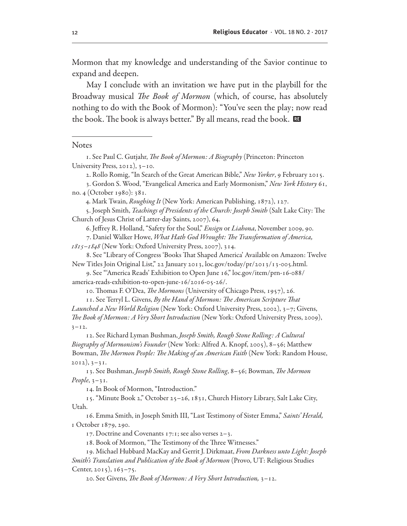Mormon that my knowledge and understanding of the Savior continue to expand and deepen.

May I conclude with an invitation we have put in the playbill for the Broadway musical *The Book of Mormon* (which, of course, has absolutely nothing to do with the Book of Mormon): "You've seen the play; now read the book. The book is always better." By all means, read the book.  $\blacksquare$ 

#### **Notes**

4. Mark Twain, Roughing It (New York: American Publishing, 1872), 127.

5. Joseph Smith, *Teachings of Presidents of the Church: Joseph Smith* (Salt Lake City: The Church of Jesus Christ of Latter-day Saints, 2007), 64.

6. Jeffrey R. Holland, "Safety for the Soul," *Ensign* or *Liahona*, November 2009, 90.

7. Daniel Walker Howe, What Hath God Wrought: The Transformation of America,

1815–1848 (New York: Oxford University Press, 2007), 314.

8. See "Library of Congress 'Books That Shaped America' Available on Amazon: Twelve New Titles Join Original List," 22 January 2013, loc.gov/today/pr/2013/13-005.html.

9. See "'America Reads' Exhibition to Open June 16," loc.gov/item/prn-16-088/ america-reads-exhibition-to-open-june-16/2016-05-26/.

10. Thomas F. O'Dea, *The Mormons* (University of Chicago Press, 1957), 26.

11. See Terryl L. Givens, By the Hand of Mormon: The American Scripture That Launched a New World Religion (New York: Oxford University Press, 2002), 3–7; Givens, The Book of Mormon: A Very Short Introduction (New York: Oxford University Press, 2009),  $3 - 12$ .

12. See Richard Lyman Bushman, Joseph Smith, Rough Stone Rolling: A Cultural Biography of Mormonism's Founder (New York: Alfred A. Knopf, 2005), 8-56; Matthew Bowman, The Mormon People: The Making of an American Faith (New York: Random House,  $2012$ ,  $3-31$ .

13. See Bushman, Joseph Smith, Rough Stone Rolling, 8–56; Bowman, The Mormon People,  $3-31$ .

14. In Book of Mormon, "Introduction."

15. "Minute Book 2," October 25–26, 1831, Church History Library, Salt Lake City, Utah.

16. Emma Smith, in Joseph Smith III, "Last Testimony of Sister Emma," Saints' Herald, 1 October 1879, 290.

17. Doctrine and Covenants 17:1; see also verses 2–3.

18. Book of Mormon, "The Testimony of the Three Witnesses."

19. Michael Hubbard MacKay and Gerrit J. Dirkmaat, *From Darkness unto Light: Joseph* Smith's Translation and Publication of the Book of Mormon (Provo, UT: Religious Studies Center, 2015),  $163-75$ .

20. See Givens, The Book of Mormon: A Very Short Introduction, 3–12.

<sup>1.</sup> See Paul C. Gutjahr, The Book of Mormon: A Biography (Princeton: Princeton University Press, 2012), 3-10.

<sup>2.</sup> Rollo Romig, "In Search of the Great American Bible," New Yorker, 9 February 2015.

<sup>3.</sup> Gordon S. Wood, "Evangelical America and Early Mormonism," New York History 61, no. 4 (October 1980): 381.